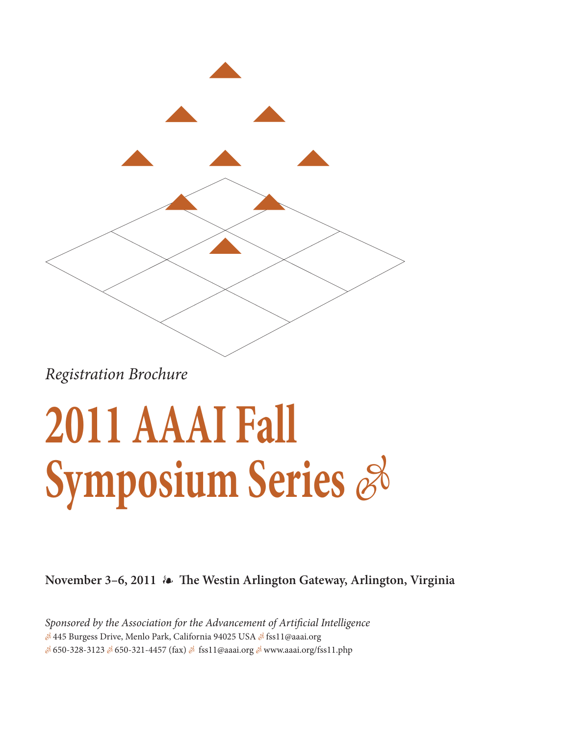

Registration Brochure

## **2011 AAAI Fall Symposium Series**  $\mathscr{E}$

**November 3–6, 2011 The Westin Arlington Gateway, Arlington, Virginia**

Sponsored by the Association for the Advancement of Artificial Intelligence 445 Burgess Drive, Menlo Park, California 94025 USA و245 Surgess Drive, Menlo Park, California & & 650-328-3123 & 650-321-4457 (fax) & fss11@aaai.org & www.aaai.org/fss11.php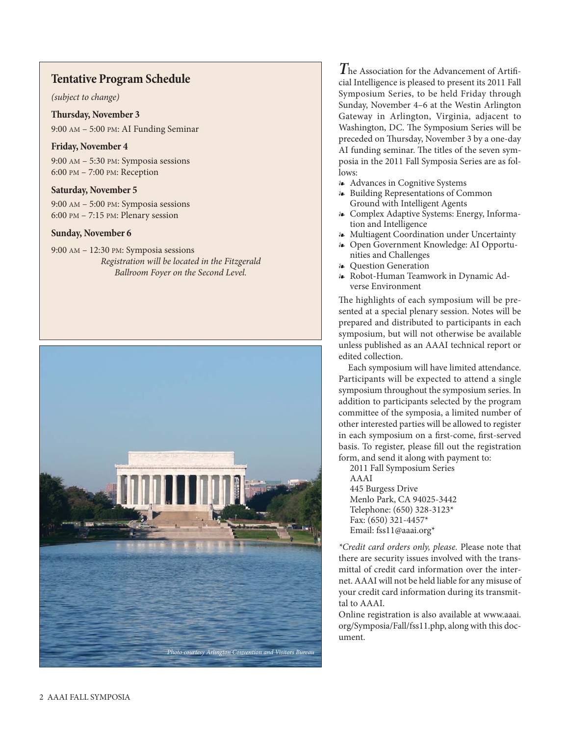## **Tentative Program Schedule**

(subject to change)

**Thursday, November 3** 9:00 AM – 5:00 PM: AI Funding Seminar

## **Friday, November 4**

9:00 AM – 5:30 PM: Symposia sessions 6:00 PM – 7:00 PM: Reception

## **Saturday, November 5**

9:00 AM – 5:00 PM: Symposia sessions 6:00 PM – 7:15 PM: Plenary session

## **Sunday, November 6**

9:00 AM – 12:30 PM: Symposia sessions Registration will be located in the Fitzgerald Ballroom Foyer on the Second Level.



**T**he Association for the Advancement of Artificial Intelligence is pleased to present its 2011 Fall Symposium Series, to be held Friday through Sunday, November 4–6 at the Westin Arlington Gateway in Arlington, Virginia, adjacent to Washington, DC. The Symposium Series will be preceded on Thursday, November 3 by a one-day AI funding seminar. The titles of the seven symposia in the 2011 Fall Symposia Series are as follows:

- Advances in Cognitive Systems
- Building Representations of Common Ground with Intelligent Agents
- Complex Adaptive Systems: Energy, Information and Intelligence
- Multiagent Coordination under Uncertainty
- Open Government Knowledge: AI Opportunities and Challenges
- Question Generation
- Robot-Human Teamwork in Dynamic Adverse Environment

The highlights of each symposium will be presented at a special plenary session. Notes will be prepared and distributed to participants in each symposium, but will not otherwise be available unless published as an AAAI technical report or edited collection.

Each symposium will have limited attendance. Participants will be expected to attend a single symposium throughout the symposium series. In addition to participants selected by the program committee of the symposia, a limited number of other interested parties will be allowed to register in each symposium on a first-come, first-served basis. To register, please fill out the registration form, and send it along with payment to:

2011 Fall Symposium Series AAAI

445 Burgess Drive Menlo Park, CA 94025-3442 Telephone: (650) 328-3123\* Fax: (650) 321-4457\* Email: fss11@aaai.org\*

\*Credit card orders only, please. Please note that there are security issues involved with the transmittal of credit card information over the internet. AAAI will not be held liable for any misuse of your credit card information during its transmittal to AAAI.

Online registration is also available at www.aaai. org/Symposia/Fall/fss11.php, along with this document.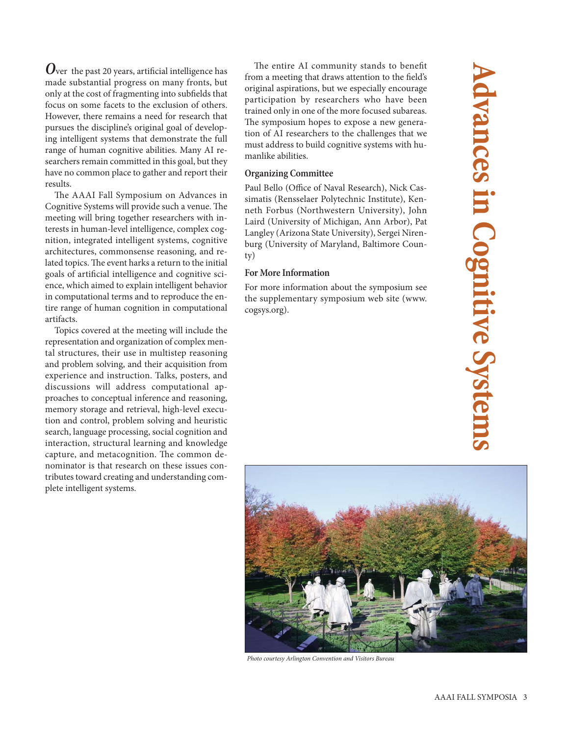**O**ver the past 20 years, artificial intelligence has made substantial progress on many fronts, but only at the cost of fragmenting into subfields that focus on some facets to the exclusion of others. However, there remains a need for research that pursues the discipline's original goal of developing intelligent systems that demonstrate the full range of human cognitive abilities. Many AI researchers remain committed in this goal, but they have no common place to gather and report their results.

The AAAI Fall Symposium on Advances in Cognitive Systems will provide such a venue. The meeting will bring together researchers with interests in human-level intelligence, complex cognition, integrated intelligent systems, cognitive architectures, commonsense reasoning, and related topics. The event harks a return to the initial goals of artificial intelligence and cognitive science, which aimed to explain intelligent behavior in computational terms and to reproduce the entire range of human cognition in computational artifacts.

Topics covered at the meeting will include the representation and organization of complex mental structures, their use in multistep reasoning and problem solving, and their acquisition from experience and instruction. Talks, posters, and discussions will address computational approaches to conceptual inference and reasoning, memory storage and retrieval, high-level execution and control, problem solving and heuristic search, language processing, social cognition and interaction, structural learning and knowledge capture, and metacognition. The common denominator is that research on these issues contributes toward creating and understanding complete intelligent systems.

The entire AI community stands to benefit from a meeting that draws attention to the field's original aspirations, but we especially encourage participation by researchers who have been trained only in one of the more focused subareas. The symposium hopes to expose a new generation of AI researchers to the challenges that we must address to build cognitive systems with humanlike abilities.

## **Organizing Committee**

Paul Bello (Office of Naval Research), Nick Cassimatis (Rensselaer Polytechnic Institute), Kenneth Forbus (Northwestern University), John Laird (University of Michigan, Ann Arbor), Pat Langley (Arizona State University), Sergei Nirenburg (University of Maryland, Baltimore County)

## **For More Information**

For more information about the symposium see the supplementary symposium web site (www. cogsys.org).



Photo courtesy Arlington Convention and Visitors Bureau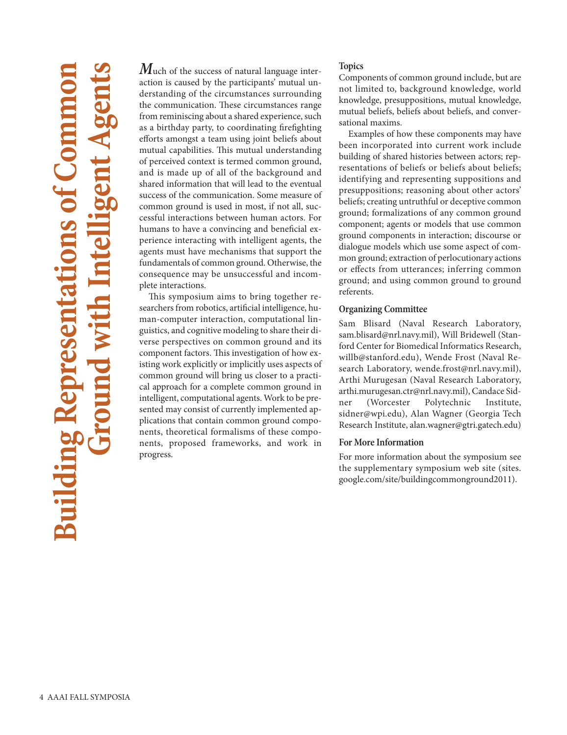## **Building Representations of Common Ground with Intelligent Agents Building Rep**

**M**uch of the success of natural language interaction is caused by the participants' mutual understanding of the circumstances surrounding the communication. These circumstances range from reminiscing about a shared experience, such as a birthday party, to coordinating firefighting efforts amongst a team using joint beliefs about mutual capabilities. This mutual understanding of perceived context is termed common ground, and is made up of all of the background and shared information that will lead to the eventual success of the communication. Some measure of common ground is used in most, if not all, successful interactions between human actors. For humans to have a convincing and beneficial experience interacting with intelligent agents, the agents must have mechanisms that support the fundamentals of common ground. Otherwise, the consequence may be unsuccessful and incomplete interactions.

This symposium aims to bring together researchers from robotics, artificial intelligence, human-computer interaction, computational linguistics, and cognitive modeling to share their diverse perspectives on common ground and its component factors. This investigation of how existing work explicitly or implicitly uses aspects of common ground will bring us closer to a practical approach for a complete common ground in intelligent, computational agents. Work to be presented may consist of currently implemented applications that contain common ground components, theoretical formalisms of these components, proposed frameworks, and work in progress.

## **Topics**

Components of common ground include, but are not limited to, background knowledge, world knowledge, presuppositions, mutual knowledge, mutual beliefs, beliefs about beliefs, and conversational maxims.

Examples of how these components may have been incorporated into current work include building of shared histories between actors; representations of beliefs or beliefs about beliefs; identifying and representing suppositions and presuppositions; reasoning about other actors' beliefs; creating untruthful or deceptive common ground; formalizations of any common ground component; agents or models that use common ground components in interaction; discourse or dialogue models which use some aspect of common ground; extraction of perlocutionary actions or effects from utterances; inferring common ground; and using common ground to ground referents.

## **Organizing Committee**

Sam Blisard (Naval Research Laboratory, sam.blisard@nrl.navy.mil), Will Bridewell (Stanford Center for Biomedical Informatics Research, willb@stanford.edu), Wende Frost (Naval Research Laboratory, wende.frost@nrl.navy.mil), Arthi Murugesan (Naval Research Laboratory, arthi.murugesan.ctr@nrl.navy.mil), Candace Sidner (Worcester Polytechnic Institute, sidner@wpi.edu), Alan Wagner (Georgia Tech Research Institute, alan.wagner@gtri.gatech.edu)

## **For More Information**

For more information about the symposium see the supplementary symposium web site (sites. google.com/site/buildingcommonground2011).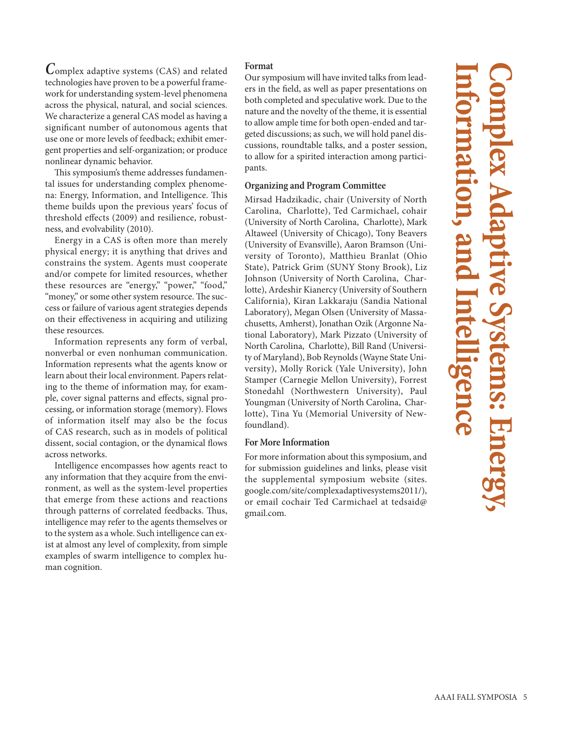**C**omplex adaptive systems (CAS) and related technologies have proven to be a powerful framework for understanding system-level phenomena across the physical, natural, and social sciences. We characterize a general CAS model as having a significant number of autonomous agents that use one or more levels of feedback; exhibit emergent properties and self-organization; or produce nonlinear dynamic behavior.

This symposium's theme addresses fundamental issues for understanding complex phenomena: Energy, Information, and Intelligence. This theme builds upon the previous years' focus of threshold effects (2009) and resilience, robustness, and evolvability (2010).

Energy in a CAS is often more than merely physical energy; it is anything that drives and constrains the system. Agents must cooperate and/or compete for limited resources, whether these resources are "energy," "power," "food," "money," or some other system resource. The success or failure of various agent strategies depends on their effectiveness in acquiring and utilizing these resources.

Information represents any form of verbal, nonverbal or even nonhuman communication. Information represents what the agents know or learn about their local environment. Papers relating to the theme of information may, for example, cover signal patterns and effects, signal processing, or information storage (memory). Flows of information itself may also be the focus of CAS research, such as in models of political dissent, social contagion, or the dynamical flows across networks.

Intelligence encompasses how agents react to any information that they acquire from the environment, as well as the system-level properties that emerge from these actions and reactions through patterns of correlated feedbacks. Thus, intelligence may refer to the agents themselves or to the system as a whole. Such intelligence can exist at almost any level of complexity, from simple examples of swarm intelligence to complex human cognition.

## **Format**

Our symposium will have invited talks from leaders in the field, as well as paper presentations on both completed and speculative work. Due to the nature and the novelty of the theme, it is essential to allow ample time for both open-ended and targeted discussions; as such, we will hold panel discussions, roundtable talks, and a poster session, to allow for a spirited interaction among participants.

## **Organizing and Program Committee**

Mirsad Hadzikadic, chair (University of North Carolina, Charlotte), Ted Carmichael, cohair (University of North Carolina, Charlotte), Mark Altaweel (University of Chicago), Tony Beavers (University of Evansville), Aaron Bramson (University of Toronto), Matthieu Branlat (Ohio State), Patrick Grim (SUNY Stony Brook), Liz Johnson (University of North Carolina, Charlotte), Ardeshir Kianercy (University of Southern California), Kiran Lakkaraju (Sandia National Laboratory), Megan Olsen (University of Massachusetts, Amherst), Jonathan Ozik (Argonne National Laboratory), Mark Pizzato (University of North Carolina, Charlotte), Bill Rand (University of Maryland), Bob Reynolds (Wayne State University), Molly Rorick (Yale University), John Stamper (Carnegie Mellon University), Forrest Stonedahl (Northwestern University), Paul Youngman (University of North Carolina, Charlotte), Tina Yu (Memorial University of Newfoundland).

## **For More Information**

For more information about this symposium, and for submission guidelines and links, please visit the supplemental symposium website (sites. google.com/site/complexadaptivesystems2011/), or email cochair Ted Carmichael at tedsaid@ gmail.com.

# **Information, and Intelligence Complex Adaptive Systems: Energy,**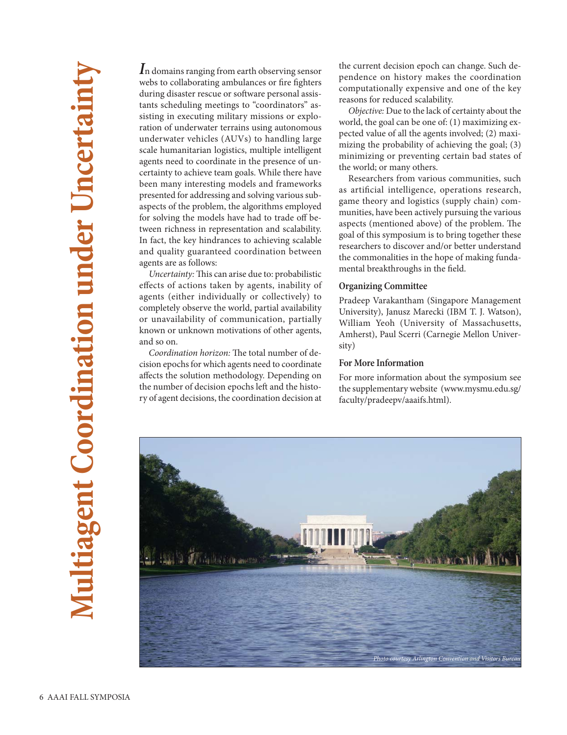**I**n domains ranging from earth observing sensor webs to collaborating ambulances or fire fighters during disaster rescue or software personal assistants scheduling meetings to "coordinators" assisting in executing military missions or exploration of underwater terrains using autonomous underwater vehicles (AUVs) to handling large scale humanitarian logistics, multiple intelligent agents need to coordinate in the presence of uncertainty to achieve team goals. While there have been many interesting models and frameworks presented for addressing and solving various subaspects of the problem, the algorithms employed for solving the models have had to trade off between richness in representation and scalability. In fact, the key hindrances to achieving scalable and quality guaranteed coordination between agents are as follows:

Uncertainty: This can arise due to: probabilistic effects of actions taken by agents, inability of agents (either individually or collectively) to completely observe the world, partial availability or unavailability of communication, partially known or unknown motivations of other agents, and so on.

Coordination horizon: The total number of decision epochs for which agents need to coordinate affects the solution methodology. Depending on the number of decision epochs left and the history of agent decisions, the coordination decision at the current decision epoch can change. Such dependence on history makes the coordination computationally expensive and one of the key reasons for reduced scalability.

Objective: Due to the lack of certainty about the world, the goal can be one of: (1) maximizing expected value of all the agents involved; (2) maximizing the probability of achieving the goal; (3) minimizing or preventing certain bad states of the world; or many others.

Researchers from various communities, such as artificial intelligence, operations research, game theory and logistics (supply chain) communities, have been actively pursuing the various aspects (mentioned above) of the problem. The goal of this symposium is to bring together these researchers to discover and/or better understand the commonalities in the hope of making fundamental breakthroughs in the field.

### **Organizing Committee**

Pradeep Varakantham (Singapore Management University), Janusz Marecki (IBM T. J. Watson), William Yeoh (University of Massachusetts, Amherst), Paul Scerri (Carnegie Mellon University)

## **For More Information**

For more information about the symposium see the supplementary website (www.mysmu.edu.sg/ faculty/pradeepv/aaaifs.html).

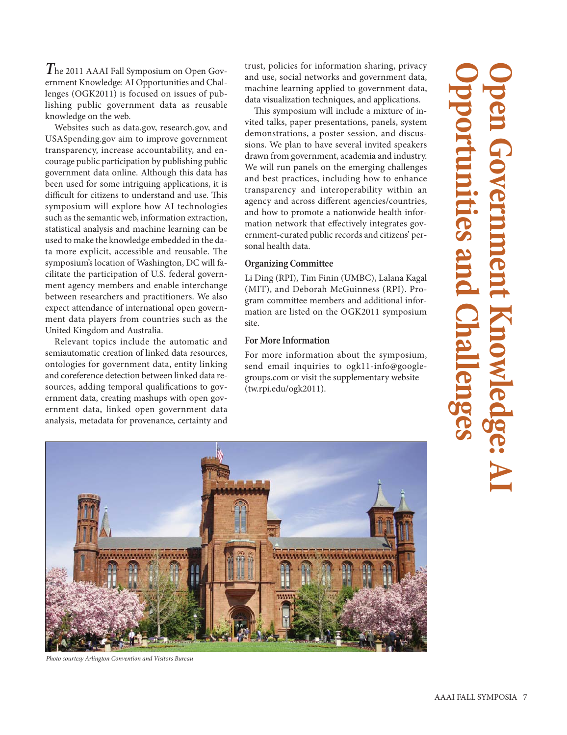**T**he 2011 AAAI Fall Symposium on Open Government Knowledge: AI Opportunities and Challenges (OGK2011) is focused on issues of publishing public government data as reusable knowledge on the web.

Websites such as data.gov, research.gov, and USASpending.gov aim to improve government transparency, increase accountability, and encourage public participation by publishing public government data online. Although this data has been used for some intriguing applications, it is difficult for citizens to understand and use. This symposium will explore how AI technologies such as the semantic web, information extraction, statistical analysis and machine learning can be used to make the knowledge embedded in the data more explicit, accessible and reusable. The symposium's location of Washington, DC will facilitate the participation of U.S. federal government agency members and enable interchange between researchers and practitioners. We also expect attendance of international open government data players from countries such as the United Kingdom and Australia.

Relevant topics include the automatic and semiautomatic creation of linked data resources, ontologies for government data, entity linking and coreference detection between linked data resources, adding temporal qualifications to government data, creating mashups with open government data, linked open government data analysis, metadata for provenance, certainty and

trust, policies for information sharing, privacy and use, social networks and government data, machine learning applied to government data, data visualization techniques, and applications.

This symposium will include a mixture of invited talks, paper presentations, panels, system demonstrations, a poster session, and discussions. We plan to have several invited speakers drawn from government, academia and industry. We will run panels on the emerging challenges and best practices, including how to enhance transparency and interoperability within an agency and across different agencies/countries, and how to promote a nationwide health information network that effectively integrates government-curated public records and citizens' personal health data.

## **Organizing Committee**

Li Ding (RPI), Tim Finin (UMBC), Lalana Kagal (MIT), and Deborah McGuinness (RPI). Program committee members and additional information are listed on the OGK2011 symposium site.

## **For More Information**

For more information about the symposium, send email inquiries to ogk11-info@googlegroups.com or visit the supplementary website (tw.rpi.edu/ogk2011).

## **Opportunities and Challenges Open Government Knowledge: AI** tunities a



Photo courtesy Arlington Convention and Visitors Bureau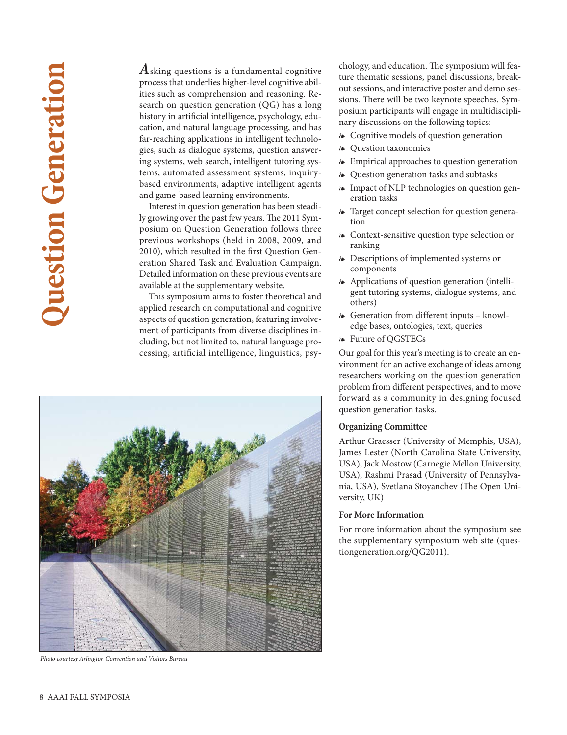## **Question Generation Duestion Generation**

**A**sking questions is a fundamental cognitive process that underlies higher-level cognitive abilities such as comprehension and reasoning. Research on question generation (QG) has a long history in artificial intelligence, psychology, education, and natural language processing, and has far-reaching applications in intelligent technologies, such as dialogue systems, question answering systems, web search, intelligent tutoring systems, automated assessment systems, inquirybased environments, adaptive intelligent agents and game-based learning environments.

Interest in question generation has been steadily growing over the past few years. The 2011 Symposium on Question Generation follows three previous workshops (held in 2008, 2009, and 2010), which resulted in the first Question Generation Shared Task and Evaluation Campaign. Detailed information on these previous events are available at the supplementary website.

This symposium aims to foster theoretical and applied research on computational and cognitive aspects of question generation, featuring involvement of participants from diverse disciplines including, but not limited to, natural language processing, artificial intelligence, linguistics, psy-



Photo courtesy Arlington Convention and Visitors Bureau

chology, and education. The symposium will feature thematic sessions, panel discussions, breakout sessions, and interactive poster and demo sessions. There will be two keynote speeches. Symposium participants will engage in multidisciplinary discussions on the following topics:

Cognitive models of question generation

- Question taxonomies
- Empirical approaches to question generation
- Question generation tasks and subtasks
- Impact of NLP technologies on question generation tasks
- Target concept selection for question generation
- Context-sensitive question type selection or ranking
- Descriptions of implemented systems or components
- Applications of question generation (intelligent tutoring systems, dialogue systems, and others)
- Generation from different inputs knowledge bases, ontologies, text, queries
- Future of QGSTECs

Our goal for this year's meeting is to create an environment for an active exchange of ideas among researchers working on the question generation problem from different perspectives, and to move forward as a community in designing focused question generation tasks.

## **Organizing Committee**

Arthur Graesser (University of Memphis, USA), James Lester (North Carolina State University, USA), Jack Mostow (Carnegie Mellon University, USA), Rashmi Prasad (University of Pennsylvania, USA), Svetlana Stoyanchev (The Open University, UK)

## **For More Information**

For more information about the symposium see the supplementary symposium web site (questiongeneration.org/QG2011).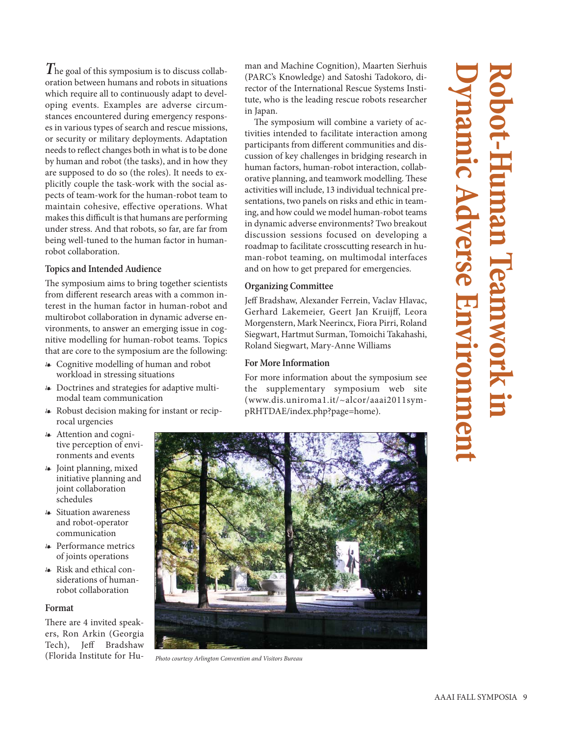**T**he goal of this symposium is to discuss collaboration between humans and robots in situations which require all to continuously adapt to developing events. Examples are adverse circumstances encountered during emergency responses in various types of search and rescue missions, or security or military deployments. Adaptation needs to reflect changes both in what is to be done by human and robot (the tasks), and in how they are supposed to do so (the roles). It needs to explicitly couple the task-work with the social aspects of team-work for the human-robot team to maintain cohesive, effective operations. What makes this difficult is that humans are performing under stress. And that robots, so far, are far from being well-tuned to the human factor in humanrobot collaboration.

## **Topics and Intended Audience**

The symposium aims to bring together scientists from different research areas with a common interest in the human factor in human-robot and multirobot collaboration in dynamic adverse environments, to answer an emerging issue in cognitive modelling for human-robot teams. Topics that are core to the symposium are the following:

- Cognitive modelling of human and robot workload in stressing situations
- Doctrines and strategies for adaptive multimodal team communication
- Robust decision making for instant or reciprocal urgencies
- Attention and cognitive perception of environments and events
- Joint planning, mixed initiative planning and joint collaboration schedules
- Situation awareness and robot-operator communication
- Performance metrics of joints operations
- Risk and ethical considerations of humanrobot collaboration

## **Format**

There are 4 invited speakers, Ron Arkin (Georgia Tech), Jeff Bradshaw (Florida Institute for Hu-

man and Machine Cognition), Maarten Sierhuis (PARC's Knowledge) and Satoshi Tadokoro, director of the International Rescue Systems Institute, who is the leading rescue robots researcher in Japan.

The symposium will combine a variety of activities intended to facilitate interaction among participants from different communities and discussion of key challenges in bridging research in human factors, human-robot interaction, collaborative planning, and teamwork modelling. These activities will include, 13 individual technical presentations, two panels on risks and ethic in teaming, and how could we model human-robot teams in dynamic adverse environments? Two breakout discussion sessions focused on developing a roadmap to facilitate crosscutting research in human-robot teaming, on multimodal interfaces and on how to get prepared for emergencies.

## **Organizing Committee**

Jeff Bradshaw, Alexander Ferrein, Vaclav Hlavac, Gerhard Lakemeier, Geert Jan Kruijff, Leora Morgenstern, Mark Neerincx, Fiora Pirri, Roland Siegwart, Hartmut Surman, Tomoichi Takahashi, Roland Siegwart, Mary-Anne Williams

## **For More Information**

For more information about the symposium see the supplementary symposium web site (www.dis.uniroma1.it/~alcor/aaai2011sympRHTDAE/index.php?page=home).





Photo courtesy Arlington Convention and Visitors Bureau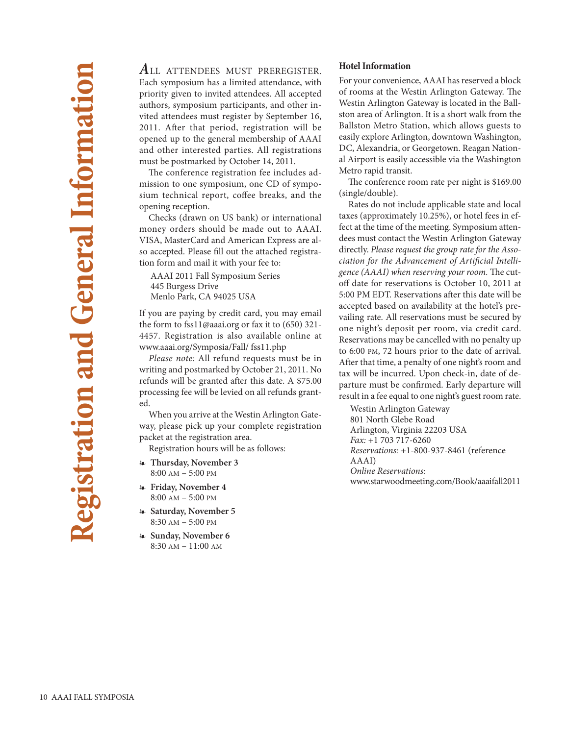**A**LL ATTENDEES MUST PREREGISTER. Each symposium has a limited attendance, with priority given to invited attendees. All accepted authors, symposium participants, and other invited attendees must register by September 16, 2011. After that period, registration will be opened up to the general membership of AAAI and other interested parties. All registrations must be postmarked by October 14, 2011.

The conference registration fee includes admission to one symposium, one CD of symposium technical report, coffee breaks, and the opening reception.

Checks (drawn on US bank) or international money orders should be made out to AAAI. VISA, MasterCard and American Express are also accepted. Please fill out the attached registration form and mail it with your fee to:

AAAI 2011 Fall Symposium Series 445 Burgess Drive Menlo Park, CA 94025 USA

If you are paying by credit card, you may email the form to fss11@aaai.org or fax it to (650) 321- 4457. Registration is also available online at www.aaai.org/Symposia/Fall/ fss11.php

Please note: All refund requests must be in writing and postmarked by October 21, 2011. No refunds will be granted after this date. A \$75.00 processing fee will be levied on all refunds granted.

When you arrive at the Westin Arlington Gateway, please pick up your complete registration packet at the registration area.

Registration hours will be as follows:

- **Thursday, November 3** 8:00 AM – 5:00 PM
- **Friday, November 4** 8:00 AM – 5:00 PM
- **Saturday, November 5** 8:30 AM – 5:00 PM
- **Sunday, November 6** 8:30 AM – 11:00 AM

## **Hotel Information**

For your convenience, AAAI has reserved a block of rooms at the Westin Arlington Gateway. The Westin Arlington Gateway is located in the Ballston area of Arlington. It is a short walk from the Ballston Metro Station, which allows guests to easily explore Arlington, downtown Washington, DC, Alexandria, or Georgetown. Reagan National Airport is easily accessible via the Washington Metro rapid transit.

The conference room rate per night is \$169.00 (single/double).

Rates do not include applicable state and local taxes (approximately 10.25%), or hotel fees in effect at the time of the meeting. Symposium attendees must contact the Westin Arlington Gateway directly. Please request the group rate for the Association for the Advancement of Artificial Intelligence (AAAI) when reserving your room. The cutoff date for reservations is October 10, 2011 at 5:00 PM EDT. Reservations after this date will be accepted based on availability at the hotel's prevailing rate. All reservations must be secured by one night's deposit per room, via credit card. Reservations may be cancelled with no penalty up to 6:00 PM, 72 hours prior to the date of arrival. After that time, a penalty of one night's room and tax will be incurred. Upon check-in, date of departure must be confirmed. Early departure will result in a fee equal to one night's guest room rate.

Westin Arlington Gateway 801 North Glebe Road Arlington, Virginia 22203 USA Fax: +1 703 717-6260 Reservations: +1-800-937-8461 (reference AAAI) Online Reservations: www.starwoodmeeting.com/Book/aaaifall2011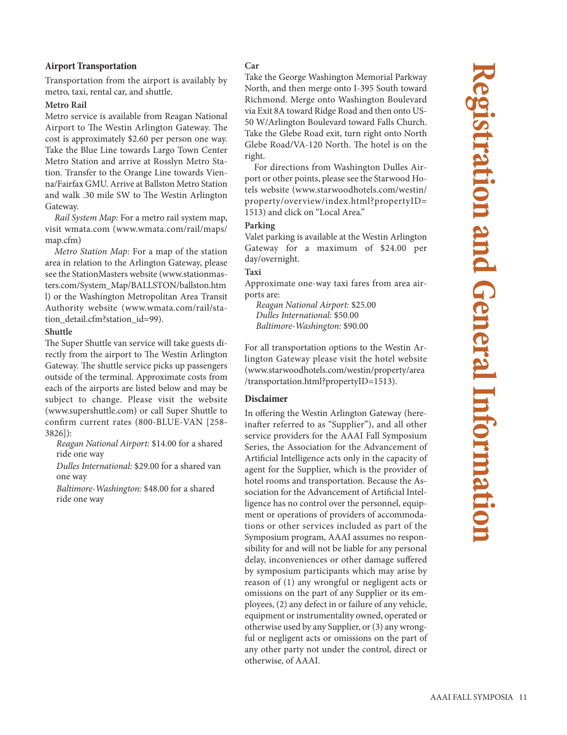## **Airport Transportation**

Transportation from the airport is availably by metro, taxi, rental car, and shuttle.

### **Metro Rail**

Metro service is available from Reagan National Airport to The Westin Arlington Gateway. The cost is approximately \$2.60 per person one way. Take the Blue Line towards Largo Town Center Metro Station and arrive at Rosslyn Metro Station. Transfer to the Orange Line towards Vienna/Fairfax GMU. Arrive at Ballston Metro Station and walk .30 mile SW to The Westin Arlington Gateway.

Rail System Map: For a metro rail system map, visit wmata.com (www.wmata.com/rail/maps/ map.cfm)

Metro Station Map: For a map of the station area in relation to the Arlington Gateway, please see the StationMasters website (www.stationmasters.com/System\_Map/BALLSTON/ballston.htm l) or the Washington Metropolitan Area Transit Authority website (www.wmata.com/rail/station\_detail.cfm?station\_id=99).

## **Shuttle**

The Super Shuttle van service will take guests directly from the airport to The Westin Arlington Gateway. The shuttle service picks up passengers outside of the terminal. Approximate costs from each of the airports are listed below and may be subject to change. Please visit the website (www.supershuttle.com) or call Super Shuttle to confirm current rates (800-BLUE-VAN [258- 3826]):

Reagan National Airport: \$14.00 for a shared ride one way

Dulles International: \$29.00 for a shared van one way

Baltimore-Washington: \$48.00 for a shared ride one way

## **Car**

Take the George Washington Memorial Parkway North, and then merge onto I-395 South toward Richmond. Merge onto Washington Boulevard via Exit 8A toward Ridge Road and then onto US-50 W/Arlington Boulevard toward Falls Church. Take the Glebe Road exit, turn right onto North Glebe Road/VA-120 North. The hotel is on the right.

For directions from Washington Dulles Airport or other points, please see the Starwood Hotels website (www.starwoodhotels.com/westin/ property/overview/index.html?propertyID= 1513) and click on "Local Area."

## **Parking**

Valet parking is available at the Westin Arlington Gateway for a maximum of \$24.00 per day/overnight.

## **Taxi**

Approximate one-way taxi fares from area airports are:

Reagan National Airport: \$25.00 Dulles International: \$50.00 Baltimore-Washington: \$90.00

For all transportation options to the Westin Arlington Gateway please visit the hotel website (www.starwoodhotels.com/westin/property/area /transportation.html?propertyID=1513).

## **Disclaimer**

In offering the Westin Arlington Gateway (hereinafter referred to as "Supplier"), and all other service providers for the AAAI Fall Symposium Series, the Association for the Advancement of Artificial Intelligence acts only in the capacity of agent for the Supplier, which is the provider of hotel rooms and transportation. Because the Association for the Advancement of Artificial Intelligence has no control over the personnel, equipment or operations of providers of accommodations or other services included as part of the Symposium program, AAAI assumes no responsibility for and will not be liable for any personal delay, inconveniences or other damage suffered by symposium participants which may arise by reason of (1) any wrongful or negligent acts or omissions on the part of any Supplier or its employees, (2) any defect in or failure of any vehicle, equipment or instrumentality owned, operated or otherwise used by any Supplier, or (3) any wrongful or negligent acts or omissions on the part of any other party not under the control, direct or otherwise, of AAAI.